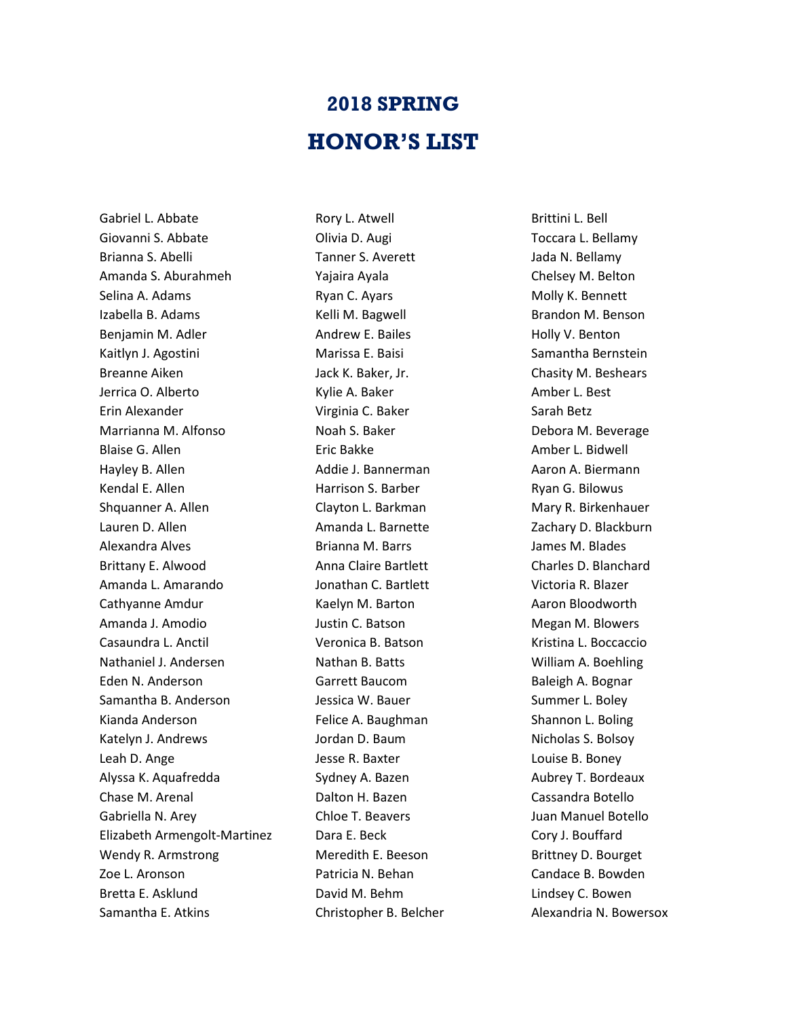## **2018 SPRING HONOR'S LIST**

Gabriel L. Abbate Giovanni S. Abbate Brianna S. Abelli Amanda S. Aburahmeh Selina A. Adams Izabella B. Adams Benjamin M. Adler Kaitlyn J. Agostini Breanne Aiken Jerrica O. Alberto Erin Alexander Marrianna M. Alfonso Blaise G. Allen Hayley B. Allen Kendal E. Allen Shquanner A. Allen Lauren D. Allen Alexandra Alves Brittany E. Alwood Amanda L. Amarando Cathyanne Amdur Amanda J. Amodio Casaundra L. Anctil Nathaniel J. Andersen Eden N. Anderson Samantha B. Anderson Kianda Anderson Katelyn J. Andrews Leah D. Ange Alyssa K. Aquafredda Chase M. Arenal Gabriella N. Arey Elizabeth Armengolt-Martinez Wendy R. Armstrong Zoe L. Aronson Bretta E. Asklund Samantha E. Atkins

Rory L. Atwell Olivia D. Augi Tanner S. Averett Yajaira Ayala Ryan C. Ayars Kelli M. Bagwell Andrew E. Bailes Marissa E. Baisi Jack K. Baker, Jr. Kylie A. Baker Virginia C. Baker Noah S. Baker Eric Bakke Addie J. Bannerman Harrison S. Barber Clayton L. Barkman Amanda L. Barnette Brianna M. Barrs Anna Claire Bartlett Jonathan C. Bartlett Kaelyn M. Barton Justin C. Batson Veronica B. Batson Nathan B. Batts Garrett Baucom Jessica W. Bauer Felice A. Baughman Jordan D. Baum Jesse R. Baxter Sydney A. Bazen Dalton H. Bazen Chloe T. Beavers Dara E. Beck Meredith E. Beeson Patricia N. Behan David M. Behm Christopher B. Belcher

Brittini L. Bell Toccara L. Bellamy Jada N. Bellamy Chelsey M. Belton Molly K. Bennett Brandon M. Benson Holly V. Benton Samantha Bernstein Chasity M. Beshears Amber L. Best Sarah Betz Debora M. Beverage Amber L. Bidwell Aaron A. Biermann Ryan G. Bilowus Mary R. Birkenhauer Zachary D. Blackburn James M. Blades Charles D. Blanchard Victoria R. Blazer Aaron Bloodworth Megan M. Blowers Kristina L. Boccaccio William A. Boehling Baleigh A. Bognar Summer L. Boley Shannon L. Boling Nicholas S. Bolsoy Louise B. Boney Aubrey T. Bordeaux Cassandra Botello Juan Manuel Botello Cory J. Bouffard Brittney D. Bourget Candace B. Bowden Lindsey C. Bowen Alexandria N. Bowersox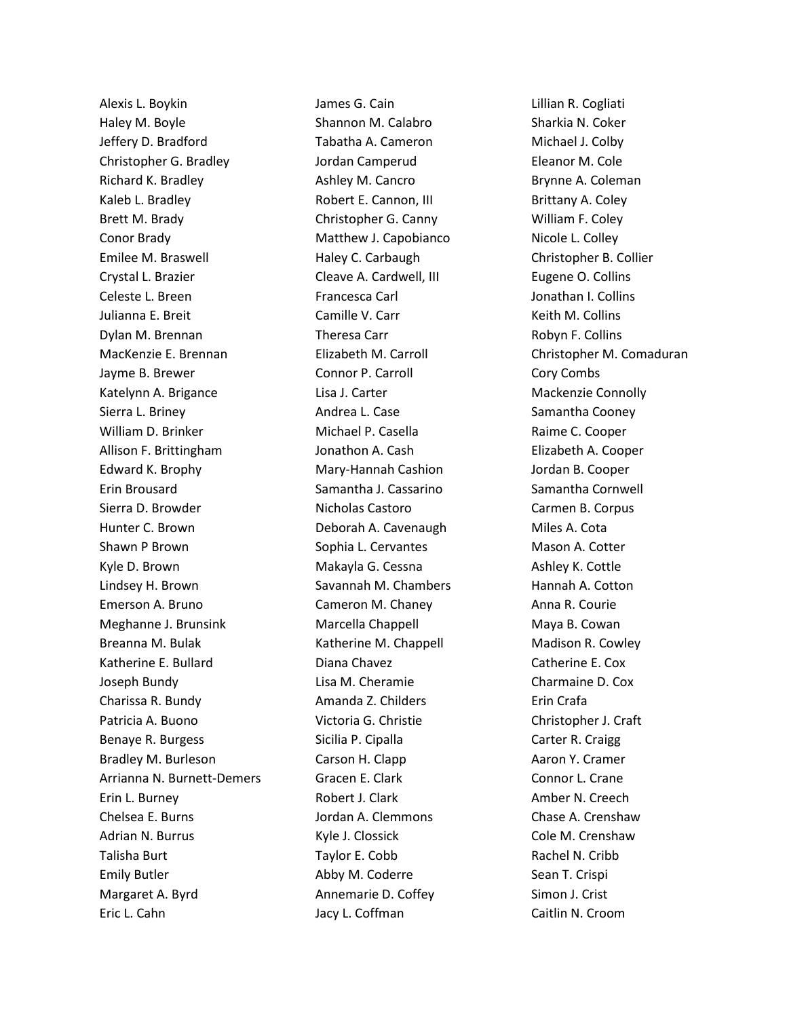Alexis L. Boykin Haley M. Boyle Jeffery D. Bradford Christopher G. Bradley Richard K. Bradley Kaleb L. Bradley Brett M. Brady Conor Brady Emilee M. Braswell Crystal L. Brazier Celeste L. Breen Julianna E. Breit Dylan M. Brennan MacKenzie E. Brennan Jayme B. Brewer Katelynn A. Brigance Sierra L. Briney William D. Brinker Allison F. Brittingham Edward K. Brophy Erin Brousard Sierra D. Browder Hunter C. Brown Shawn P Brown Kyle D. Brown Lindsey H. Brown Emerson A. Bruno Meghanne J. Brunsink Breanna M. Bulak Katherine E. Bullard Joseph Bundy Charissa R. Bundy Patricia A. Buono Benaye R. Burgess Bradley M. Burleson Arrianna N. Burnett-Demers Erin L. Burney Chelsea E. Burns Adrian N. Burrus Talisha Burt Emily Butler Margaret A. Byrd Eric L. Cahn

James G. Cain Shannon M. Calabro Tabatha A. Cameron Jordan Camperud Ashley M. Cancro Robert E. Cannon, III Christopher G. Canny Matthew J. Capobianco Haley C. Carbaugh Cleave A. Cardwell, III Francesca Carl Camille V. Carr Theresa Carr Elizabeth M. Carroll Connor P. Carroll Lisa J. Carter Andrea L. Case Michael P. Casella Jonathon A. Cash Mary-Hannah Cashion Samantha J. Cassarino Nicholas Castoro Deborah A. Cavenaugh Sophia L. Cervantes Makayla G. Cessna Savannah M. Chambers Cameron M. Chaney Marcella Chappell Katherine M. Chappell Diana Chavez Lisa M. Cheramie Amanda Z. Childers Victoria G. Christie Sicilia P. Cipalla Carson H. Clapp Gracen E. Clark Robert J. Clark Jordan A. Clemmons Kyle J. Clossick Taylor E. Cobb Abby M. Coderre Annemarie D. Coffey Jacy L. Coffman

Lillian R. Cogliati Sharkia N. Coker Michael J. Colby Eleanor M. Cole Brynne A. Coleman Brittany A. Coley William F. Coley Nicole L. Colley Christopher B. Collier Eugene O. Collins Jonathan I. Collins Keith M. Collins Robyn F. Collins Christopher M. Comaduran Cory Combs Mackenzie Connolly Samantha Cooney Raime C. Cooper Elizabeth A. Cooper Jordan B. Cooper Samantha Cornwell Carmen B. Corpus Miles A. Cota Mason A. Cotter Ashley K. Cottle Hannah A. Cotton Anna R. Courie Maya B. Cowan Madison R. Cowley Catherine E. Cox Charmaine D. Cox Erin Crafa Christopher J. Craft Carter R. Craigg Aaron Y. Cramer Connor L. Crane Amber N. Creech Chase A. Crenshaw Cole M. Crenshaw Rachel N. Cribb Sean T. Crispi Simon J. Crist Caitlin N. Croom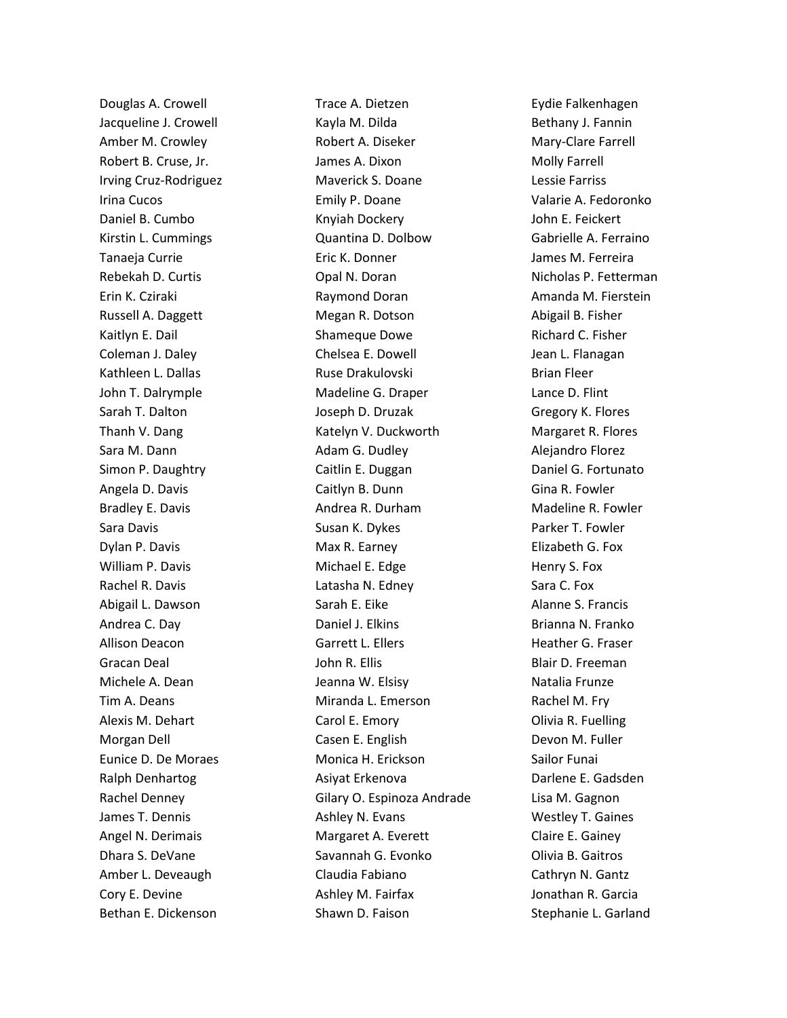Douglas A. Crowell Jacqueline J. Crowell Amber M. Crowley Robert B. Cruse, Jr. Irving Cruz-Rodriguez Irina Cucos Daniel B. Cumbo Kirstin L. Cummings Tanaeja Currie Rebekah D. Curtis Erin K. Cziraki Russell A. Daggett Kaitlyn E. Dail Coleman J. Daley Kathleen L. Dallas John T. Dalrymple Sarah T. Dalton Thanh V. Dang Sara M. Dann Simon P. Daughtry Angela D. Davis Bradley E. Davis Sara Davis Dylan P. Davis William P. Davis Rachel R. Davis Abigail L. Dawson Andrea C. Day Allison Deacon Gracan Deal Michele A. Dean Tim A. Deans Alexis M. Dehart Morgan Dell Eunice D. De Moraes Ralph Denhartog Rachel Denney James T. Dennis Angel N. Derimais Dhara S. DeVane Amber L. Deveaugh Cory E. Devine Bethan E. Dickenson

Trace A. Dietzen Kayla M. Dilda Robert A. Diseker James A. Dixon Maverick S. Doane Emily P. Doane Knyiah Dockery Quantina D. Dolbow Eric K. Donner Opal N. Doran Raymond Doran Megan R. Dotson Shameque Dowe Chelsea E. Dowell Ruse Drakulovski Madeline G. Draper Joseph D. Druzak Katelyn V. Duckworth Adam G. Dudley Caitlin E. Duggan Caitlyn B. Dunn Andrea R. Durham Susan K. Dykes Max R. Earney Michael E. Edge Latasha N. Edney Sarah E. Eike Daniel J. Elkins Garrett L. Ellers John R. Ellis Jeanna W. Elsisy Miranda L. Emerson Carol E. Emory Casen E. English Monica H. Erickson Asiyat Erkenova Gilary O. Espinoza Andrade Ashley N. Evans Margaret A. Everett Savannah G. Evonko Claudia Fabiano Ashley M. Fairfax Shawn D. Faison

Eydie Falkenhagen Bethany J. Fannin Mary-Clare Farrell Molly Farrell Lessie Farriss Valarie A. Fedoronko John E. Feickert Gabrielle A. Ferraino James M. Ferreira Nicholas P. Fetterman Amanda M. Fierstein Abigail B. Fisher Richard C. Fisher Jean L. Flanagan Brian Fleer Lance D. Flint Gregory K. Flores Margaret R. Flores Alejandro Florez Daniel G. Fortunato Gina R. Fowler Madeline R. Fowler Parker T. Fowler Elizabeth G. Fox Henry S. Fox Sara C. Fox Alanne S. Francis Brianna N. Franko Heather G. Fraser Blair D. Freeman Natalia Frunze Rachel M. Fry Olivia R. Fuelling Devon M. Fuller Sailor Funai Darlene E. Gadsden Lisa M. Gagnon Westley T. Gaines Claire E. Gainey Olivia B. Gaitros Cathryn N. Gantz Jonathan R. Garcia Stephanie L. Garland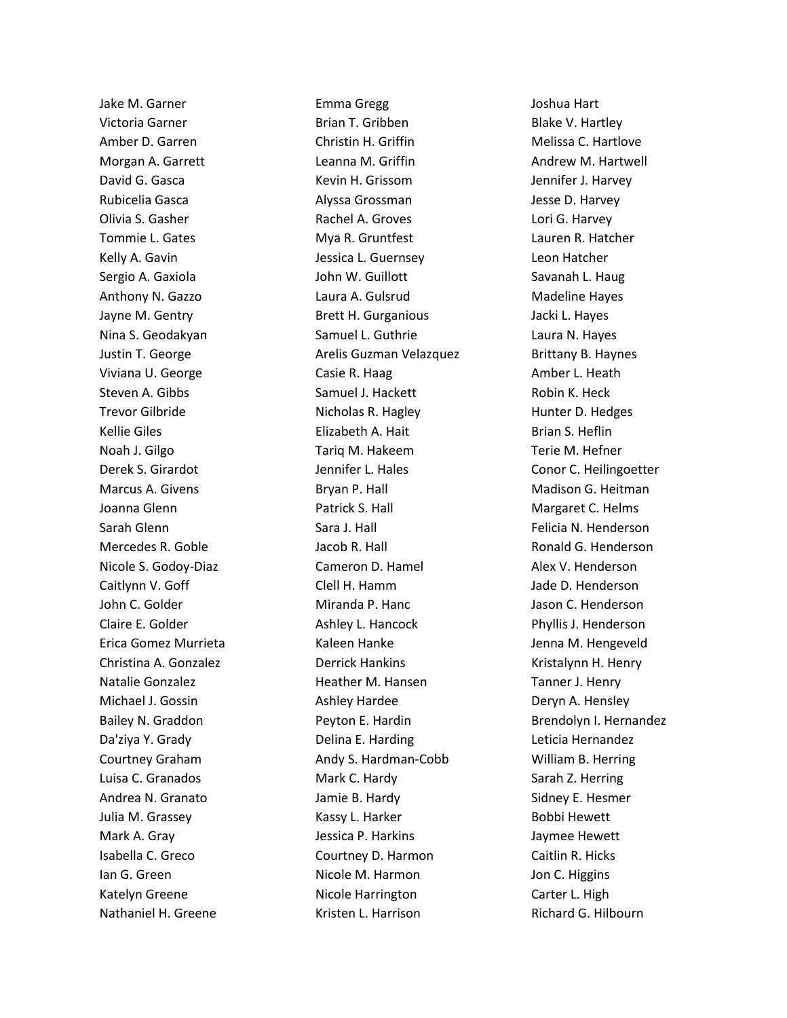Jake M. Garner Victoria Garner Amber D. Garren Morgan A. Garrett David G. Gasca Rubicelia Gasca Olivia S. Gasher Tommie L. Gates Kelly A. Gavin Sergio A. Gaxiola Anthony N. Gazzo Jayne M. Gentry Nina S. Geodakyan Justin T. George Viviana U. George Steven A. Gibbs Trevor Gilbride Kellie Giles Noah J. Gilgo Derek S. Girardot Marcus A. Givens Joanna Glenn Sarah Glenn Mercedes R. Goble Nicole S. Godoy-Diaz Caitlynn V. Goff John C. Golder Claire E. Golder Erica Gomez Murrieta Christina A. Gonzalez Natalie Gonzalez Michael J. Gossin Bailey N. Graddon Da'ziya Y. Grady Courtney Graham Luisa C. Granados Andrea N. Granato Julia M. Grassey Mark A. Gray Isabella C. Greco Ian G. Green Katelyn Greene Nathaniel H. Greene

Emma Gregg Brian T. Gribben Christin H. Griffin Leanna M. Griffin Kevin H. Grissom Alyssa Grossman Rachel A. Groves Mya R. Gruntfest Jessica L. Guernsey John W. Guillott Laura A. Gulsrud Brett H. Gurganious Samuel L. Guthrie Arelis Guzman Velazquez Casie R. Haag Samuel J. Hackett Nicholas R. Hagley Elizabeth A. Hait Tariq M. Hakeem Jennifer L. Hales Bryan P. Hall Patrick S. Hall Sara J. Hall Jacob R. Hall Cameron D. Hamel Clell H. Hamm Miranda P. Hanc Ashley L. Hancock Kaleen Hanke Derrick Hankins Heather M. Hansen Ashley Hardee Peyton E. Hardin Delina E. Harding Andy S. Hardman-Cobb Mark C. Hardy Jamie B. Hardy Kassy L. Harker Jessica P. Harkins Courtney D. Harmon Nicole M. Harmon Nicole Harrington Kristen L. Harrison

Joshua Hart Blake V. Hartley Melissa C. Hartlove Andrew M. Hartwell Jennifer J. Harvey Jesse D. Harvey Lori G. Harvey Lauren R. Hatcher Leon Hatcher Savanah L. Haug Madeline Hayes Jacki L. Hayes Laura N. Hayes Brittany B. Haynes Amber L. Heath Robin K. Heck Hunter D. Hedges Brian S. Heflin Terie M. Hefner Conor C. Heilingoetter Madison G. Heitman Margaret C. Helms Felicia N. Henderson Ronald G. Henderson Alex V. Henderson Jade D. Henderson Jason C. Henderson Phyllis J. Henderson Jenna M. Hengeveld Kristalynn H. Henry Tanner J. Henry Deryn A. Hensley Brendolyn I. Hernandez Leticia Hernandez William B. Herring Sarah Z. Herring Sidney E. Hesmer Bobbi Hewett Jaymee Hewett Caitlin R. Hicks Jon C. Higgins Carter L. High Richard G. Hilbourn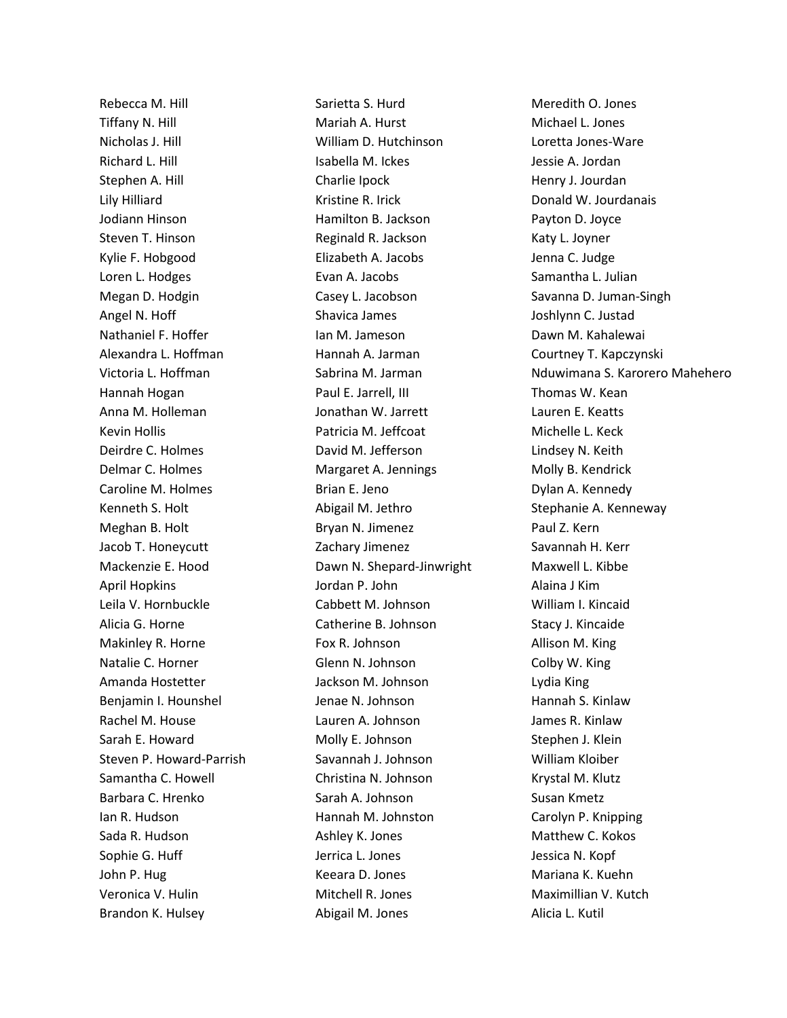Rebecca M. Hill Tiffany N. Hill Nicholas J. Hill Richard L. Hill Stephen A. Hill Lily Hilliard Jodiann Hinson Steven T. Hinson Kylie F. Hobgood Loren L. Hodges Megan D. Hodgin Angel N. Hoff Nathaniel F. Hoffer Alexandra L. Hoffman Victoria L. Hoffman Hannah Hogan Anna M. Holleman Kevin Hollis Deirdre C. Holmes Delmar C. Holmes Caroline M. Holmes Kenneth S. Holt Meghan B. Holt Jacob T. Honeycutt Mackenzie E. Hood April Hopkins Leila V. Hornbuckle Alicia G. Horne Makinley R. Horne Natalie C. Horner Amanda Hostetter Benjamin I. Hounshel Rachel M. House Sarah E. Howard Steven P. Howard-Parrish Samantha C. Howell Barbara C. Hrenko Ian R. Hudson Sada R. Hudson Sophie G. Huff John P. Hug Veronica V. Hulin Brandon K. Hulsey

Sarietta S. Hurd Mariah A. Hurst William D. Hutchinson Isabella M. Ickes Charlie Ipock Kristine R. Irick Hamilton B. Jackson Reginald R. Jackson Elizabeth A. Jacobs Evan A. Jacobs Casey L. Jacobson Shavica James Ian M. Jameson Hannah A. Jarman Sabrina M. Jarman Paul E. Jarrell, III Jonathan W. Jarrett Patricia M. Jeffcoat David M. Jefferson Margaret A. Jennings Brian E. Jeno Abigail M. Jethro Bryan N. Jimenez Zachary Jimenez Dawn N. Shepard-Jinwright Jordan P. John Cabbett M. Johnson Catherine B. Johnson Fox R. Johnson Glenn N. Johnson Jackson M. Johnson Jenae N. Johnson Lauren A. Johnson Molly E. Johnson Savannah J. Johnson Christina N. Johnson Sarah A. Johnson Hannah M. Johnston Ashley K. Jones Jerrica L. Jones Keeara D. Jones Mitchell R. Jones Abigail M. Jones

Meredith O. Jones Michael L. Jones Loretta Jones-Ware Jessie A. Jordan Henry J. Jourdan Donald W. Jourdanais Payton D. Joyce Katy L. Joyner Jenna C. Judge Samantha L. Julian Savanna D. Juman-Singh Joshlynn C. Justad Dawn M. Kahalewai Courtney T. Kapczynski Nduwimana S. Karorero Mahehero Thomas W. Kean Lauren E. Keatts Michelle L. Keck Lindsey N. Keith Molly B. Kendrick Dylan A. Kennedy Stephanie A. Kenneway Paul Z. Kern Savannah H. Kerr Maxwell L. Kibbe Alaina J Kim William I. Kincaid Stacy J. Kincaide Allison M. King Colby W. King Lydia King Hannah S. Kinlaw James R. Kinlaw Stephen J. Klein William Kloiber Krystal M. Klutz Susan Kmetz Carolyn P. Knipping Matthew C. Kokos Jessica N. Kopf Mariana K. Kuehn Maximillian V. Kutch Alicia L. Kutil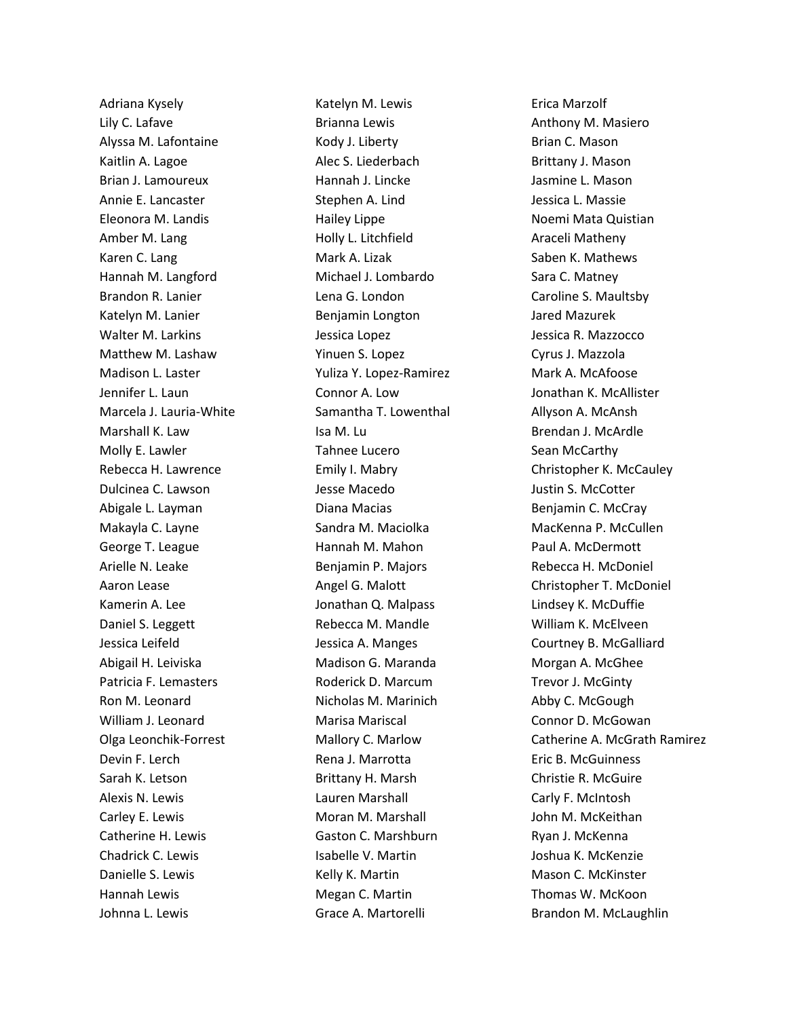Adriana Kysely Lily C. Lafave Alyssa M. Lafontaine Kaitlin A. Lagoe Brian J. Lamoureux Annie E. Lancaster Eleonora M. Landis Amber M. Lang Karen C. Lang Hannah M. Langford Brandon R. Lanier Katelyn M. Lanier Walter M. Larkins Matthew M. Lashaw Madison L. Laster Jennifer L. Laun Marcela J. Lauria-White Marshall K. Law Molly E. Lawler Rebecca H. Lawrence Dulcinea C. Lawson Abigale L. Layman Makayla C. Layne George T. League Arielle N. Leake Aaron Lease Kamerin A. Lee Daniel S. Leggett Jessica Leifeld Abigail H. Leiviska Patricia F. Lemasters Ron M. Leonard William J. Leonard Olga Leonchik-Forrest Devin F. Lerch Sarah K. Letson Alexis N. Lewis Carley E. Lewis Catherine H. Lewis Chadrick C. Lewis Danielle S. Lewis Hannah Lewis Johnna L. Lewis

Katelyn M. Lewis Brianna Lewis Kody J. Liberty Alec S. Liederbach Hannah J. Lincke Stephen A. Lind Hailey Lippe Holly L. Litchfield Mark A. Lizak Michael J. Lombardo Lena G. London Benjamin Longton Jessica Lopez Yinuen S. Lopez Yuliza Y. Lopez-Ramirez Connor A. Low Samantha T. Lowenthal Isa M. Lu Tahnee Lucero Emily I. Mabry Jesse Macedo Diana Macias Sandra M. Maciolka Hannah M. Mahon Benjamin P. Majors Angel G. Malott Jonathan Q. Malpass Rebecca M. Mandle Jessica A. Manges Madison G. Maranda Roderick D. Marcum Nicholas M. Marinich Marisa Mariscal Mallory C. Marlow Rena J. Marrotta Brittany H. Marsh Lauren Marshall Moran M. Marshall Gaston C. Marshburn Isabelle V. Martin Kelly K. Martin Megan C. Martin Grace A. Martorelli

Erica Marzolf Anthony M. Masiero Brian C. Mason Brittany J. Mason Jasmine L. Mason Jessica L. Massie Noemi Mata Quistian Araceli Matheny Saben K. Mathews Sara C. Matney Caroline S. Maultsby Jared Mazurek Jessica R. Mazzocco Cyrus J. Mazzola Mark A. McAfoose Jonathan K. McAllister Allyson A. McAnsh Brendan J. McArdle Sean McCarthy Christopher K. McCauley Justin S. McCotter Benjamin C. McCray MacKenna P. McCullen Paul A. McDermott Rebecca H. McDoniel Christopher T. McDoniel Lindsey K. McDuffie William K. McElveen Courtney B. McGalliard Morgan A. McGhee Trevor J. McGinty Abby C. McGough Connor D. McGowan Catherine A. McGrath Ramirez Eric B. McGuinness Christie R. McGuire Carly F. McIntosh John M. McKeithan Ryan J. McKenna Joshua K. McKenzie Mason C. McKinster Thomas W. McKoon Brandon M. McLaughlin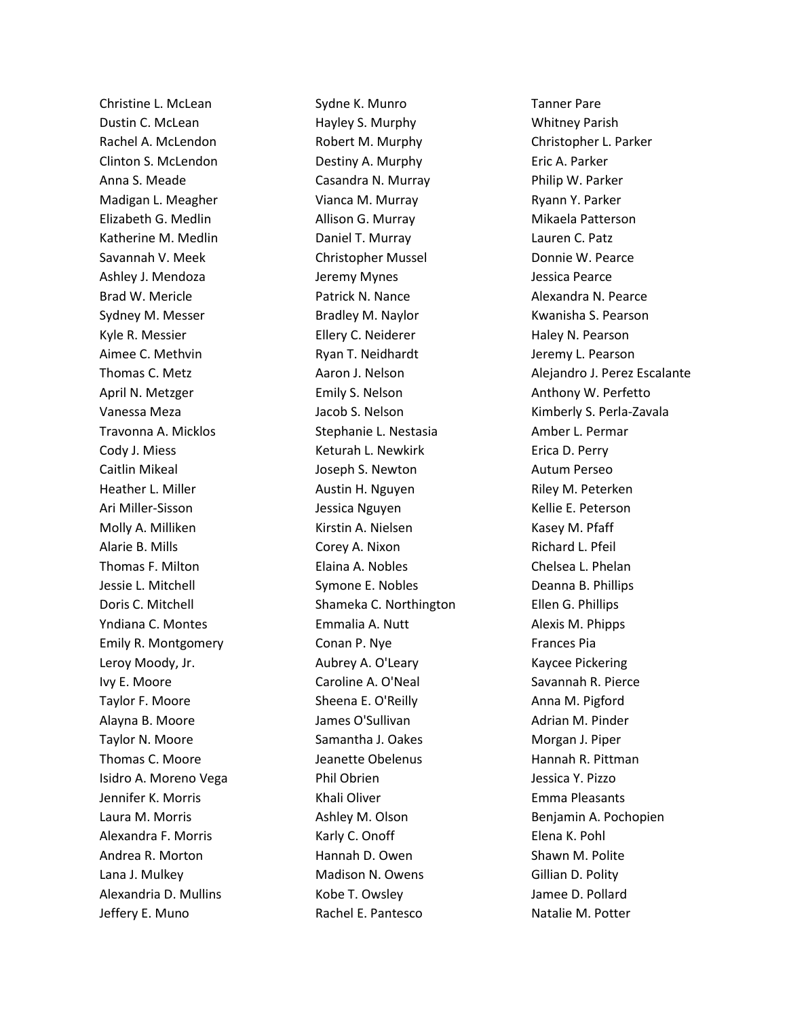Christine L. McLean Dustin C. McLean Rachel A. McLendon Clinton S. McLendon Anna S. Meade Madigan L. Meagher Elizabeth G. Medlin Katherine M. Medlin Savannah V. Meek Ashley J. Mendoza Brad W. Mericle Sydney M. Messer Kyle R. Messier Aimee C. Methvin Thomas C. Metz April N. Metzger Vanessa Meza Travonna A. Micklos Cody J. Miess Caitlin Mikeal Heather L. Miller Ari Miller-Sisson Molly A. Milliken Alarie B. Mills Thomas F. Milton Jessie L. Mitchell Doris C. Mitchell Yndiana C. Montes Emily R. Montgomery Leroy Moody, Jr. Ivy E. Moore Taylor F. Moore Alayna B. Moore Taylor N. Moore Thomas C. Moore Isidro A. Moreno Vega Jennifer K. Morris Laura M. Morris Alexandra F. Morris Andrea R. Morton Lana J. Mulkey Alexandria D. Mullins Jeffery E. Muno

Sydne K. Munro Hayley S. Murphy Robert M. Murphy Destiny A. Murphy Casandra N. Murray Vianca M. Murray Allison G. Murray Daniel T. Murray Christopher Mussel Jeremy Mynes Patrick N. Nance Bradley M. Naylor Ellery C. Neiderer Ryan T. Neidhardt Aaron J. Nelson Emily S. Nelson Jacob S. Nelson Stephanie L. Nestasia Keturah L. Newkirk Joseph S. Newton Austin H. Nguyen Jessica Nguyen Kirstin A. Nielsen Corey A. Nixon Elaina A. Nobles Symone E. Nobles Shameka C. Northington Emmalia A. Nutt Conan P. Nye Aubrey A. O'Leary Caroline A. O'Neal Sheena E. O'Reilly James O'Sullivan Samantha J. Oakes Jeanette Obelenus Phil Obrien Khali Oliver Ashley M. Olson Karly C. Onoff Hannah D. Owen Madison N. Owens Kobe T. Owsley Rachel E. Pantesco

Tanner Pare Whitney Parish Christopher L. Parker Eric A. Parker Philip W. Parker Ryann Y. Parker Mikaela Patterson Lauren C. Patz Donnie W. Pearce Jessica Pearce Alexandra N. Pearce Kwanisha S. Pearson Haley N. Pearson Jeremy L. Pearson Alejandro J. Perez Escalante Anthony W. Perfetto Kimberly S. Perla-Zavala Amber L. Permar Erica D. Perry Autum Perseo Riley M. Peterken Kellie E. Peterson Kasey M. Pfaff Richard L. Pfeil Chelsea L. Phelan Deanna B. Phillips Ellen G. Phillips Alexis M. Phipps Frances Pia Kaycee Pickering Savannah R. Pierce Anna M. Pigford Adrian M. Pinder Morgan J. Piper Hannah R. Pittman Jessica Y. Pizzo Emma Pleasants Benjamin A. Pochopien Elena K. Pohl Shawn M. Polite Gillian D. Polity Jamee D. Pollard Natalie M. Potter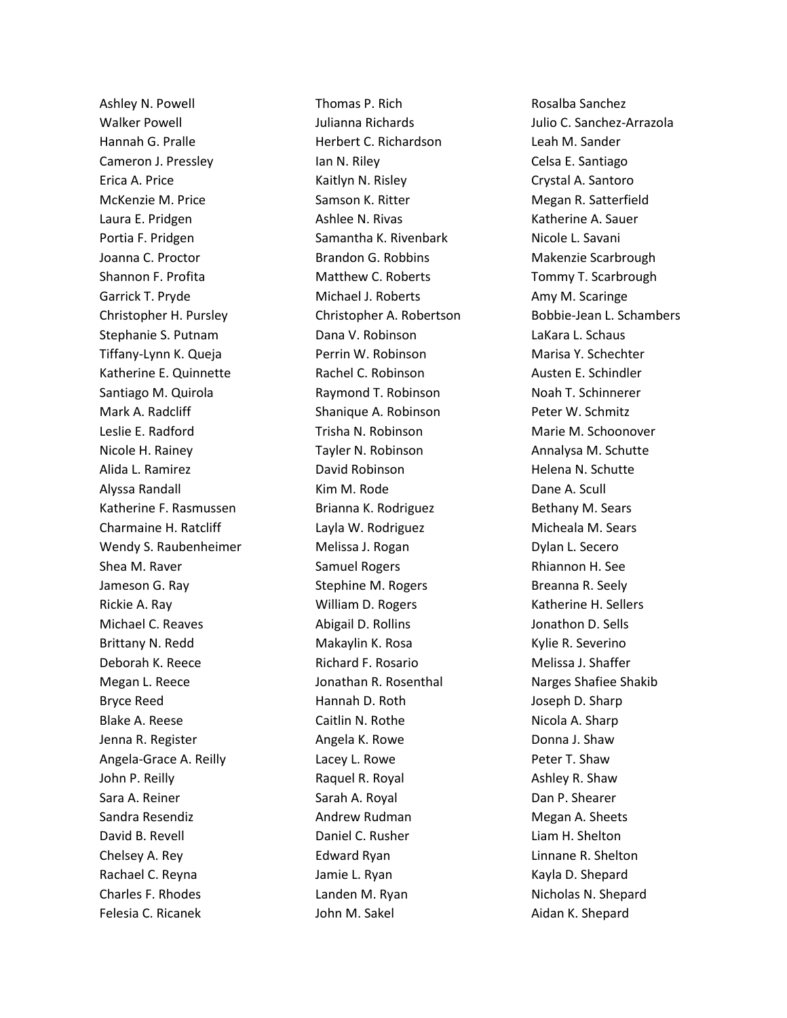Ashley N. Powell Walker Powell Hannah G. Pralle Cameron J. Pressley Erica A. Price McKenzie M. Price Laura E. Pridgen Portia F. Pridgen Joanna C. Proctor Shannon F. Profita Garrick T. Pryde Christopher H. Pursley Stephanie S. Putnam Tiffany-Lynn K. Queja Katherine E. Quinnette Santiago M. Quirola Mark A. Radcliff Leslie E. Radford Nicole H. Rainey Alida L. Ramirez Alyssa Randall Katherine F. Rasmussen Charmaine H. Ratcliff Wendy S. Raubenheimer Shea M. Raver Jameson G. Ray Rickie A. Ray Michael C. Reaves Brittany N. Redd Deborah K. Reece Megan L. Reece Bryce Reed Blake A. Reese Jenna R. Register Angela-Grace A. Reilly John P. Reilly Sara A. Reiner Sandra Resendiz David B. Revell Chelsey A. Rey Rachael C. Reyna Charles F. Rhodes Felesia C. Ricanek

Thomas P. Rich Julianna Richards Herbert C. Richardson Ian N. Riley Kaitlyn N. Risley Samson K. Ritter Ashlee N. Rivas Samantha K. Rivenbark Brandon G. Robbins Matthew C. Roberts Michael J. Roberts Christopher A. Robertson Dana V. Robinson Perrin W. Robinson Rachel C. Robinson Raymond T. Robinson Shanique A. Robinson Trisha N. Robinson Tayler N. Robinson David Robinson Kim M. Rode Brianna K. Rodriguez Layla W. Rodriguez Melissa J. Rogan Samuel Rogers Stephine M. Rogers William D. Rogers Abigail D. Rollins Makaylin K. Rosa Richard F. Rosario Jonathan R. Rosenthal Hannah D. Roth Caitlin N. Rothe Angela K. Rowe Lacey L. Rowe Raquel R. Royal Sarah A. Royal Andrew Rudman Daniel C. Rusher Edward Ryan Jamie L. Ryan Landen M. Ryan John M. Sakel

Rosalba Sanchez Julio C. Sanchez-Arrazola Leah M. Sander Celsa E. Santiago Crystal A. Santoro Megan R. Satterfield Katherine A. Sauer Nicole L. Savani Makenzie Scarbrough Tommy T. Scarbrough Amy M. Scaringe Bobbie-Jean L. Schambers LaKara L. Schaus Marisa Y. Schechter Austen E. Schindler Noah T. Schinnerer Peter W. Schmitz Marie M. Schoonover Annalysa M. Schutte Helena N. Schutte Dane A. Scull Bethany M. Sears Micheala M. Sears Dylan L. Secero Rhiannon H. See Breanna R. Seely Katherine H. Sellers Jonathon D. Sells Kylie R. Severino Melissa J. Shaffer Narges Shafiee Shakib Joseph D. Sharp Nicola A. Sharp Donna J. Shaw Peter T. Shaw Ashley R. Shaw Dan P. Shearer Megan A. Sheets Liam H. Shelton Linnane R. Shelton Kayla D. Shepard Nicholas N. Shepard Aidan K. Shepard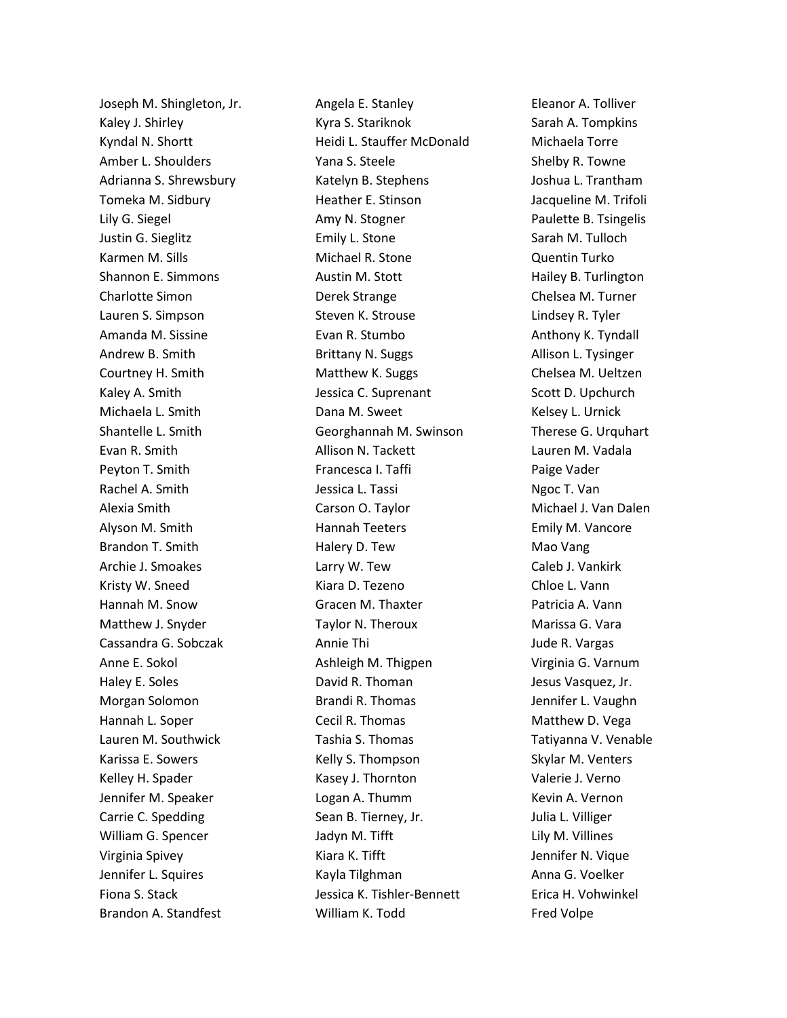Joseph M. Shingleton, Jr. Kaley J. Shirley Kyndal N. Shortt Amber L. Shoulders Adrianna S. Shrewsbury Tomeka M. Sidbury Lily G. Siegel Justin G. Sieglitz Karmen M. Sills Shannon E. Simmons Charlotte Simon Lauren S. Simpson Amanda M. Sissine Andrew B. Smith Courtney H. Smith Kaley A. Smith Michaela L. Smith Shantelle L. Smith Evan R. Smith Peyton T. Smith Rachel A. Smith Alexia Smith Alyson M. Smith Brandon T. Smith Archie J. Smoakes Kristy W. Sneed Hannah M. Snow Matthew J. Snyder Cassandra G. Sobczak Anne E. Sokol Haley E. Soles Morgan Solomon Hannah L. Soper Lauren M. Southwick Karissa E. Sowers Kelley H. Spader Jennifer M. Speaker Carrie C. Spedding William G. Spencer Virginia Spivey Jennifer L. Squires Fiona S. Stack Brandon A. Standfest

Angela E. Stanley Kyra S. Stariknok Heidi L. Stauffer McDonald Yana S. Steele Katelyn B. Stephens Heather E. Stinson Amy N. Stogner Emily L. Stone Michael R. Stone Austin M. Stott Derek Strange Steven K. Strouse Evan R. Stumbo Brittany N. Suggs Matthew K. Suggs Jessica C. Suprenant Dana M. Sweet Georghannah M. Swinson Allison N. Tackett Francesca I. Taffi Jessica L. Tassi Carson O. Taylor Hannah Teeters Halery D. Tew Larry W. Tew Kiara D. Tezeno Gracen M. Thaxter Taylor N. Theroux Annie Thi Ashleigh M. Thigpen David R. Thoman Brandi R. Thomas Cecil R. Thomas Tashia S. Thomas Kelly S. Thompson Kasey J. Thornton Logan A. Thumm Sean B. Tierney, Jr. Jadyn M. Tifft Kiara K. Tifft Kayla Tilghman Jessica K. Tishler-Bennett William K. Todd

Eleanor A. Tolliver Sarah A. Tompkins Michaela Torre Shelby R. Towne Joshua L. Trantham Jacqueline M. Trifoli Paulette B. Tsingelis Sarah M. Tulloch Quentin Turko Hailey B. Turlington Chelsea M. Turner Lindsey R. Tyler Anthony K. Tyndall Allison L. Tysinger Chelsea M. Ueltzen Scott D. Upchurch Kelsey L. Urnick Therese G. Urquhart Lauren M. Vadala Paige Vader Ngoc T. Van Michael J. Van Dalen Emily M. Vancore Mao Vang Caleb J. Vankirk Chloe L. Vann Patricia A. Vann Marissa G. Vara Jude R. Vargas Virginia G. Varnum Jesus Vasquez, Jr. Jennifer L. Vaughn Matthew D. Vega Tatiyanna V. Venable Skylar M. Venters Valerie J. Verno Kevin A. Vernon Julia L. Villiger Lily M. Villines Jennifer N. Vique Anna G. Voelker Erica H. Vohwinkel Fred Volpe